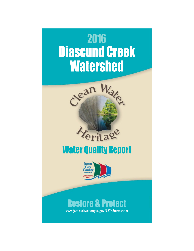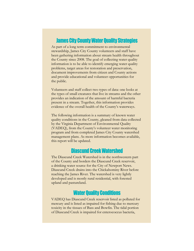#### **James City County Water Quality Strategies**

As part of a long term commitment to environmental stewardship, James City County volunteers and staff have been gathering information about stream health throughout the County since 2008. The goal of collecting water quality information is to be able to identify emerging water quality problems, target areas for restoration and preservation, document improvements from citizen and County actions and provide educational and volunteer opportunities for the public.

Volunteers and staff collect two types of data: one looks at the types of small creatures that live in streams and the other provides an indication of the amount of harmful bacteria present in a stream. Together, this information provides evidence of the overall health of the County's waterways.

The following information is a summary of known water quality conditions in the County, gleaned from data collected by the Virginia Department of Environmental Quality (VADEQ), from the County's volunteer water monitoring program and from completed James City County watershed management plans. As more information becomes available, this report will be updated.

### **Diascund Creek Watershed**

The Diascund Creek Watershed is in the northwestern part of the County and borders the Diascund Creek reservoir, a drinking water source for the City of Newport News. Diascund Creek drains into the Chickahominy River before reaching the James River. The watershed is very lightly developed and is mostly rural residential, with forested upland and pastureland.

## **Water Quality Conditions**

VADEQ has Diascund Creek reservoir listed as polluted for mercury and is listed as impaired for fishing due to mercury toxicity in the tissues of Bass and Bowfin. The tidal portion of Diascund Creek is impaired for enterococcus bacteria,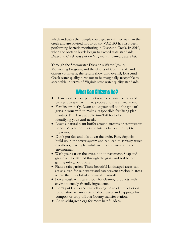which indicates that people could get sick if they swim in the creek and are advised not to do so. VADEQ has also been performing bacteria monitoring in Diascund Creek. In 2010, when the bacteria levels began to exceed state standards, Diascund Creek was put on Virginia's impaired waters list.

Through the Stormwater Division's Water Quality Monitoring Program, and the efforts of County staff and citizen volunteers, the results show that, overall, Diascund Creek water quality turns out to be marginally acceptable to acceptable in terms of Virginia state water quality standards.

### **What Can Citizens Do?**

- Clean up after your pet. Pet waste contains bacteria and viruses that are harmful to people and the environment.
- Fertilize properly. Learn about your soil and the type of grass in your yard to make a responsible fertilizing plan. Contact Turf Love at 757-564-2170 for help in identifying your yard needs.
- Leave a natural plant buffer around streams or stormwater ponds. Vegetation filters pollutants before they get to the water.
- Don't put fats and oils down the drain. Fatty deposits build up in the sewer system and can lead to sanitary sewer overflows, leaving harmful bacteria and viruses in the environment.
- Wash your car on the grass, not on pavement. Soap and grease will be filtered through the grass and soil before getting into groundwater.
- Plant a rain garden. These beautiful landscaped areas can act as a trap for rain water and can prevent erosion in areas where there is a lot of stormwater run-off.
- Power-wash with care. Look for cleaning products with environmentally-friendly ingredients.
- Don't put leaves and yard clippings in road ditches or on top of storm-drain inlets. Collect leaves and clippings for compost or drop off at a County transfer station.
- Go to askhrgreen.org for more helpful ideas.